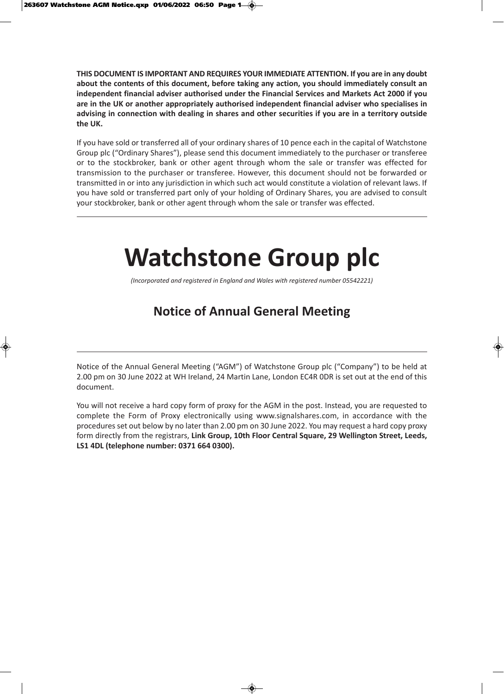**THIS DOCUMENT IS IMPORTANT AND REQUIRES YOUR IMMEDIATE ATTENTION. If you are in any doubt about the contents of this document, before taking any action, you should immediately consult an independent financial adviser authorised under the Financial Services and Markets Act 2000 if you are in the UK or another appropriately authorised independent financial adviser who specialises in advising in connection with dealing in shares and other securities if you are in a territory outside the UK.**

If you have sold or transferred all of your ordinary shares of 10 pence each in the capital of Watchstone Group plc ("Ordinary Shares"), please send this document immediately to the purchaser or transferee or to the stockbroker, bank or other agent through whom the sale or transfer was effected for transmission to the purchaser or transferee. However, this document should not be forwarded or transmitted in or into any jurisdiction in which such act would constitute a violation of relevant laws. If you have sold or transferred part only of your holding of Ordinary Shares, you are advised to consult your stockbroker, bank or other agent through whom the sale or transfer was effected.

### **Watchstone Group plc**

*(Incorporated and registered in England and Wales with registered number 05542221)*

### **Notice of Annual General Meeting**

Notice of the Annual General Meeting ("AGM") of Watchstone Group plc ("Company") to be held at 2.00 pm on 30 June 2022 at WH Ireland, 24 Martin Lane, London EC4R 0DR is set out at the end of this document.

You will not receive a hard copy form of proxy for the AGM in the post. Instead, you are requested to complete the Form of Proxy electronically using www.signalshares.com, in accordance with the procedures set out below by no later than 2.00 pm on 30 June 2022. You may request a hard copy proxy form directly from the registrars, **Link Group, 10th Floor Central Square, 29 Wellington Street, Leeds, LS1 4DL (telephone number: 0371 664 0300).**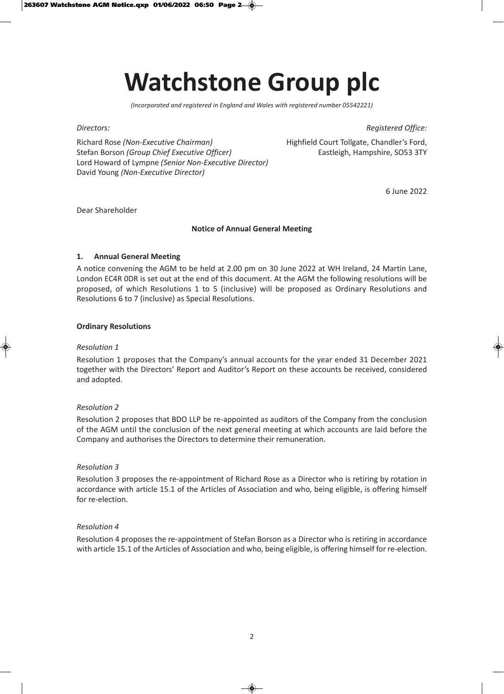## **Watchstone Group plc**

*(Incorporated and registered in England and Wales with registered number 05542221)*

*Directors: Registered Office:*

Richard Rose *(Non-Executive Chairman)* Highfield Court Tollgate, Chandler's Ford, Stefan Borson *(Group Chief Executive Officer)* Eastleigh, Hampshire, SO53 3TY Lord Howard of Lympne *(Senior Non‐Executive Director)* David Young *(Non‐Executive Director)*

6 June 2022

Dear Shareholder

#### **Notice of Annual General Meeting**

#### **1. Annual General Meeting**

A notice convening the AGM to be held at 2.00 pm on 30 June 2022 at WH Ireland, 24 Martin Lane, London EC4R 0DR is set out at the end of this document. At the AGM the following resolutions will be proposed, of which Resolutions 1 to 5 (inclusive) will be proposed as Ordinary Resolutions and Resolutions 6 to 7 (inclusive) as Special Resolutions.

#### **Ordinary Resolutions**

#### *Resolution 1*

Resolution 1 proposes that the Company's annual accounts for the year ended 31 December 2021 together with the Directors' Report and Auditor's Report on these accounts be received, considered and adopted.

#### *Resolution 2*

Resolution 2 proposes that BDO LLP be re‐appointed as auditors of the Company from the conclusion of the AGM until the conclusion of the next general meeting at which accounts are laid before the Company and authorises the Directors to determine their remuneration.

#### *Resolution 3*

Resolution 3 proposes the re‐appointment of Richard Rose as a Director who is retiring by rotation in accordance with article 15.1 of the Articles of Association and who, being eligible, is offering himself for re-election.

#### *Resolution 4*

Resolution 4 proposes the re‐appointment of Stefan Borson as a Director who is retiring in accordance with article 15.1 of the Articles of Association and who, being eligible, is offering himself for re-election.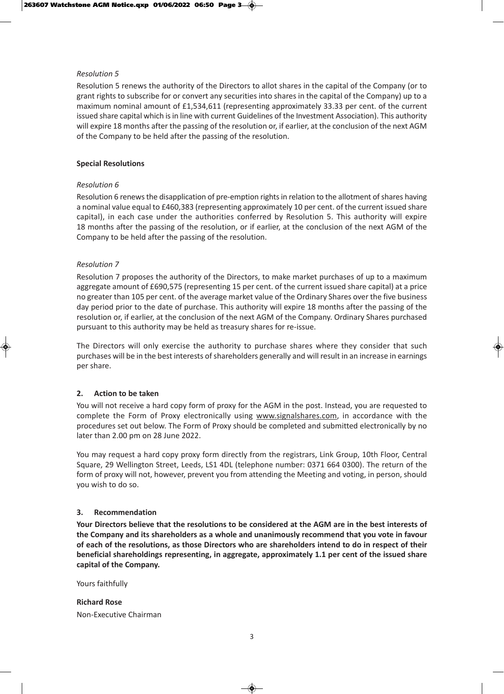#### *Resolution 5*

Resolution 5 renews the authority of the Directors to allot shares in the capital of the Company (or to grant rights to subscribe for or convert any securities into shares in the capital of the Company) up to a maximum nominal amount of £1,534,611 (representing approximately 33.33 per cent. of the current issued share capital which is in line with current Guidelines of the Investment Association). This authority will expire 18 months after the passing of the resolution or, if earlier, at the conclusion of the next AGM of the Company to be held after the passing of the resolution.

#### **Special Resolutions**

#### *Resolution 6*

Resolution 6 renews the disapplication of pre-emption rights in relation to the allotment of shares having a nominal value equal to £460,383 (representing approximately 10 per cent. of the current issued share capital), in each case under the authorities conferred by Resolution 5. This authority will expire 18 months after the passing of the resolution, or if earlier, at the conclusion of the next AGM of the Company to be held after the passing of the resolution.

#### *Resolution 7*

Resolution 7 proposes the authority of the Directors, to make market purchases of up to a maximum aggregate amount of £690,575 (representing 15 per cent. of the current issued share capital) at a price no greater than 105 per cent. of the average market value of the Ordinary Shares over the five business day period prior to the date of purchase. This authority will expire 18 months after the passing of the resolution or, if earlier, at the conclusion of the next AGM of the Company. Ordinary Shares purchased pursuant to this authority may be held as treasury shares for re‐issue.

The Directors will only exercise the authority to purchase shares where they consider that such purchases will be in the best interests of shareholders generally and will result in an increase in earnings per share.

### **2. Action to be taken**

You will not receive a hard copy form of proxy for the AGM in the post. Instead, you are requested to complete the Form of Proxy electronically using www.signalshares.com, in accordance with the procedures set out below. The Form of Proxy should be completed and submitted electronically by no later than 2.00 pm on 28 June 2022.

You may request a hard copy proxy form directly from the registrars, Link Group, 10th Floor, Central Square, 29 Wellington Street, Leeds, LS1 4DL (telephone number: 0371 664 0300). The return of the form of proxy will not, however, prevent you from attending the Meeting and voting, in person, should you wish to do so.

#### **3. Recommendation**

**Your Directors believe that the resolutions to be considered at the AGM are in the best interests of the Company and its shareholders as a whole and unanimously recommend that you vote in favour of each of the resolutions, as those Directors who are shareholders intend to do in respect of their beneficial shareholdings representing, in aggregate, approximately 1.1 per cent of the issued share capital of the Company.**

Yours faithfully

**Richard Rose** Non‐Executive Chairman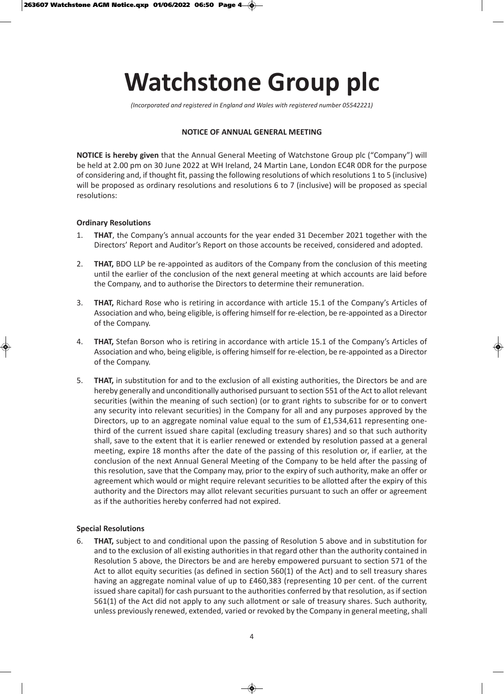# **Watchstone Group plc**

*(Incorporated and registered in England and Wales with registered number 05542221)*

#### **NOTICE OF ANNUAL GENERAL MEETING**

**NOTICE is hereby given** that the Annual General Meeting of Watchstone Group plc ("Company") will be held at 2.00 pm on 30 June 2022 at WH Ireland, 24 Martin Lane, London EC4R 0DR for the purpose of considering and, if thought fit, passing the following resolutions of which resolutions 1 to 5 (inclusive) will be proposed as ordinary resolutions and resolutions 6 to 7 (inclusive) will be proposed as special resolutions:

#### **Ordinary Resolutions**

- 1. **THAT**, the Company's annual accounts for the year ended 31 December 2021 together with the Directors' Report and Auditor's Report on those accounts be received, considered and adopted.
- 2. **THAT,** BDO LLP be re-appointed as auditors of the Company from the conclusion of this meeting until the earlier of the conclusion of the next general meeting at which accounts are laid before the Company, and to authorise the Directors to determine their remuneration.
- 3. **THAT,** Richard Rose who is retiring in accordance with article 15.1 of the Company's Articles of Association and who, being eligible, is offering himself for re‐election, be re‐appointed as a Director of the Company.
- 4. **THAT,** Stefan Borson who is retiring in accordance with article 15.1 of the Company's Articles of Association and who, being eligible, is offering himself for re‐election, be re‐appointed as a Director of the Company.
- 5. **THAT,** in substitution for and to the exclusion of all existing authorities, the Directors be and are hereby generally and unconditionally authorised pursuant to section 551 of the Act to allot relevant securities (within the meaning of such section) (or to grant rights to subscribe for or to convert any security into relevant securities) in the Company for all and any purposes approved by the Directors, up to an aggregate nominal value equal to the sum of £1,534,611 representing onethird of the current issued share capital (excluding treasury shares) and so that such authority shall, save to the extent that it is earlier renewed or extended by resolution passed at a general meeting, expire 18 months after the date of the passing of this resolution or, if earlier, at the conclusion of the next Annual General Meeting of the Company to be held after the passing of this resolution, save that the Company may, prior to the expiry of such authority, make an offer or agreement which would or might require relevant securities to be allotted after the expiry of this authority and the Directors may allot relevant securities pursuant to such an offer or agreement as if the authorities hereby conferred had not expired.

### **Special Resolutions**

6. **THAT,** subject to and conditional upon the passing of Resolution 5 above and in substitution for and to the exclusion of all existing authorities in that regard other than the authority contained in Resolution 5 above, the Directors be and are hereby empowered pursuant to section 571 of the Act to allot equity securities (as defined in section 560(1) of the Act) and to sell treasury shares having an aggregate nominal value of up to £460,383 (representing 10 per cent. of the current issued share capital) for cash pursuant to the authorities conferred by that resolution, as if section 561(1) of the Act did not apply to any such allotment or sale of treasury shares. Such authority, unless previously renewed, extended, varied or revoked by the Company in general meeting, shall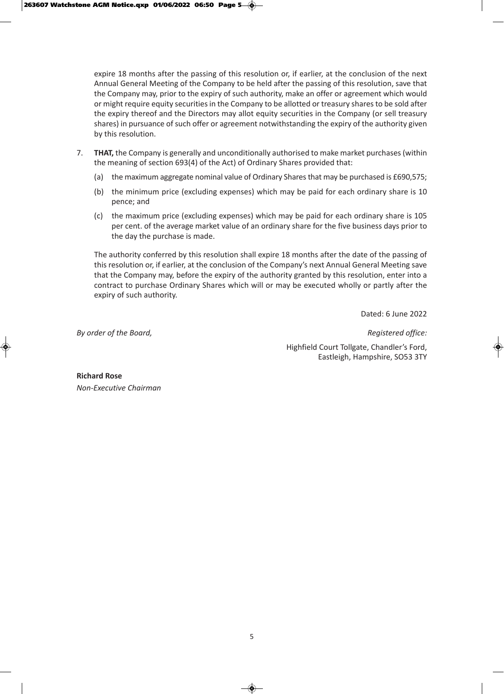expire 18 months after the passing of this resolution or, if earlier, at the conclusion of the next Annual General Meeting of the Company to be held after the passing of this resolution, save that the Company may, prior to the expiry of such authority, make an offer or agreement which would or might require equity securities in the Company to be allotted or treasury shares to be sold after the expiry thereof and the Directors may allot equity securities in the Company (or sell treasury shares) in pursuance of such offer or agreement notwithstanding the expiry of the authority given by this resolution.

- 7. **THAT,** the Company is generally and unconditionally authorised to make market purchases (within the meaning of section 693(4) of the Act) of Ordinary Shares provided that:
	- (a) the maximum aggregate nominal value of Ordinary Shares that may be purchased is £690,575;
	- (b) the minimum price (excluding expenses) which may be paid for each ordinary share is 10 pence; and
	- (c) the maximum price (excluding expenses) which may be paid for each ordinary share is 105 per cent. of the average market value of an ordinary share for the five business days prior to the day the purchase is made.

The authority conferred by this resolution shall expire 18 months after the date of the passing of this resolution or, if earlier, at the conclusion of the Company's next Annual General Meeting save that the Company may, before the expiry of the authority granted by this resolution, enter into a contract to purchase Ordinary Shares which will or may be executed wholly or partly after the expiry of such authority.

Dated: 6 June 2022

*By order of the Board, Registered office:* Highfield Court Tollgate, Chandler's Ford, Eastleigh, Hampshire, SO53 3TY

**Richard Rose** *Non‐Executive Chairman*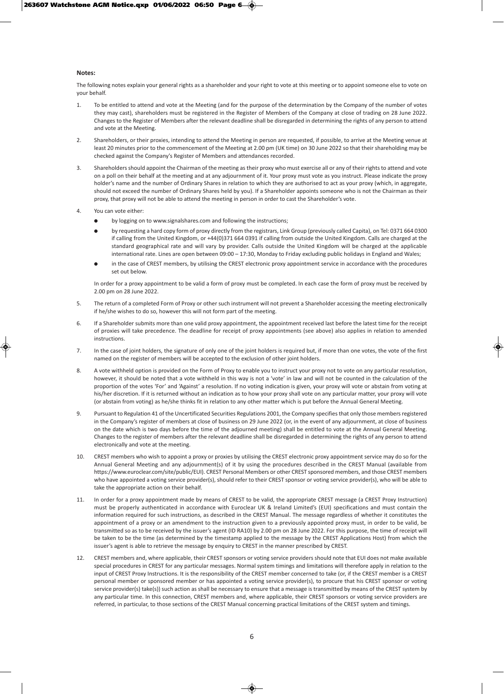#### **Notes:**

The following notes explain your general rights as a shareholder and your right to vote at this meeting or to appoint someone else to vote on your behalf.

- 1. To be entitled to attend and vote at the Meeting (and for the purpose of the determination by the Company of the number of votes they may cast), shareholders must be registered in the Register of Members of the Company at close of trading on 28 June 2022. Changes to the Register of Members after the relevant deadline shall be disregarded in determining the rights of any person to attend and vote at the Meeting.
- 2. Shareholders, or their proxies, intending to attend the Meeting in person are requested, if possible, to arrive at the Meeting venue at least 20 minutes prior to the commencement of the Meeting at 2.00 pm (UK time) on 30 June 2022 so that their shareholding may be checked against the Company's Register of Members and attendances recorded.
- 3. Shareholders should appoint the Chairman of the meeting as their proxy who must exercise all or any of their rights to attend and vote on a poll on their behalf at the meeting and at any adjournment of it. Your proxy must vote as you instruct. Please indicate the proxy holder's name and the number of Ordinary Shares in relation to which they are authorised to act as your proxy (which, in aggregate, should not exceed the number of Ordinary Shares held by you). If a Shareholder appoints someone who is not the Chairman as their proxy, that proxy will not be able to attend the meeting in person in order to cast the Shareholder's vote.
- 4. You can vote either:
	- by logging on to www.signalshares.com and following the instructions;
	- l by requesting a hard copy form of proxy directly from the registrars, Link Group (previously called Capita), on Tel: 0371 664 0300 if calling from the United Kingdom, or +44(0)371 664 0391 if calling from outside the United Kingdom. Calls are charged at the standard geographical rate and will vary by provider. Calls outside the United Kingdom will be charged at the applicable international rate. Lines are open between 09:00 – 17:30, Monday to Friday excluding public holidays in England and Wales;
	- in the case of CREST members, by utilising the CREST electronic proxy appointment service in accordance with the procedures set out below.

In order for a proxy appointment to be valid a form of proxy must be completed. In each case the form of proxy must be received by 2.00 pm on 28 June 2022.

- 5. The return of a completed Form of Proxy or other such instrument will not prevent a Shareholder accessing the meeting electronically if he/she wishes to do so, however this will not form part of the meeting.
- 6. If a Shareholder submits more than one valid proxy appointment, the appointment received last before the latest time for the receipt of proxies will take precedence. The deadline for receipt of proxy appointments (see above) also applies in relation to amended instructions.
- 7. In the case of joint holders, the signature of only one of the joint holders is required but, if more than one votes, the vote of the first named on the register of members will be accepted to the exclusion of other joint holders.
- 8. A vote withheld option is provided on the Form of Proxy to enable you to instruct your proxy not to vote on any particular resolution, however, it should be noted that a vote withheld in this way is not a 'vote' in law and will not be counted in the calculation of the proportion of the votes 'For' and 'Against' a resolution. If no voting indication is given, your proxy will vote or abstain from voting at his/her discretion. If it is returned without an indication as to how your proxy shall vote on any particular matter, your proxy will vote (or abstain from voting) as he/she thinks fit in relation to any other matter which is put before the Annual General Meeting.
- 9. Pursuant to Regulation 41 of the Uncertificated Securities Regulations 2001, the Company specifies that only those members registered in the Company's register of members at close of business on 29 June 2022 (or, in the event of any adjournment, at close of business on the date which is two days before the time of the adjourned meeting) shall be entitled to vote at the Annual General Meeting. Changes to the register of members after the relevant deadline shall be disregarded in determining the rights of any person to attend electronically and vote at the meeting.
- 10. CREST members who wish to appoint a proxy or proxies by utilising the CREST electronic proxy appointment service may do so for the Annual General Meeting and any adjournment(s) of it by using the procedures described in the CREST Manual (available from https://www.euroclear.com/site/public/EUI). CREST Personal Members or other CREST sponsored members, and those CREST members who have appointed a voting service provider(s), should refer to their CREST sponsor or voting service provider(s), who will be able to take the appropriate action on their behalf.
- 11. In order for a proxy appointment made by means of CREST to be valid, the appropriate CREST message (a CREST Proxy Instruction) must be properly authenticated in accordance with Euroclear UK & Ireland Limited's (EUI) specifications and must contain the information required for such instructions, as described in the CREST Manual. The message regardless of whether it constitutes the appointment of a proxy or an amendment to the instruction given to a previously appointed proxy must, in order to be valid, be transmitted so as to be received by the issuer's agent (ID RA10) by 2.00 pm on 28 June 2022. For this purpose, the time of receipt will be taken to be the time (as determined by the timestamp applied to the message by the CREST Applications Host) from which the issuer's agent is able to retrieve the message by enquiry to CREST in the manner prescribed by CREST.
- 12. CREST members and, where applicable, their CREST sponsors or voting service providers should note that EUI does not make available special procedures in CREST for any particular messages. Normal system timings and limitations will therefore apply in relation to the input of CREST Proxy Instructions. It is the responsibility of the CREST member concerned to take (or, if the CREST member is a CREST personal member or sponsored member or has appointed a voting service provider(s), to procure that his CREST sponsor or voting service provider(s) take(s)) such action as shall be necessary to ensure that a message is transmitted by means of the CREST system by any particular time. In this connection, CREST members and, where applicable, their CREST sponsors or voting service providers are referred, in particular, to those sections of the CREST Manual concerning practical limitations of the CREST system and timings.